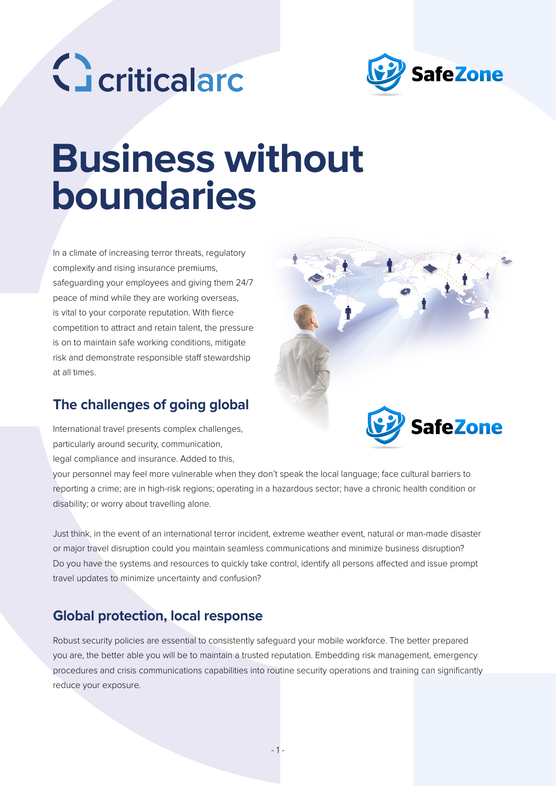



# **Business without boundaries**

In a climate of increasing terror threats, regulatory complexity and rising insurance premiums, safeguarding your employees and giving them 24/7 peace of mind while they are working overseas, is vital to your corporate reputation. With fierce competition to attract and retain talent, the pressure is on to maintain safe working conditions, mitigate risk and demonstrate responsible staff stewardship at all times.

### **The challenges of going global**

International travel presents complex challenges, particularly around security, communication, legal compliance and insurance. Added to this,



your personnel may feel more vulnerable when they don't speak the local language; face cultural barriers to reporting a crime; are in high-risk regions; operating in a hazardous sector; have a chronic health condition or disability; or worry about travelling alone.

Just think, in the event of an international terror incident, extreme weather event, natural or man-made disaster or major travel disruption could you maintain seamless communications and minimize business disruption? Do you have the systems and resources to quickly take control, identify all persons affected and issue prompt travel updates to minimize uncertainty and confusion?

### **Global protection, local response**

Robust security policies are essential to consistently safeguard your mobile workforce. The better prepared you are, the better able you will be to maintain a trusted reputation. Embedding risk management, emergency procedures and crisis communications capabilities into routine security operations and training can significantly reduce your exposure.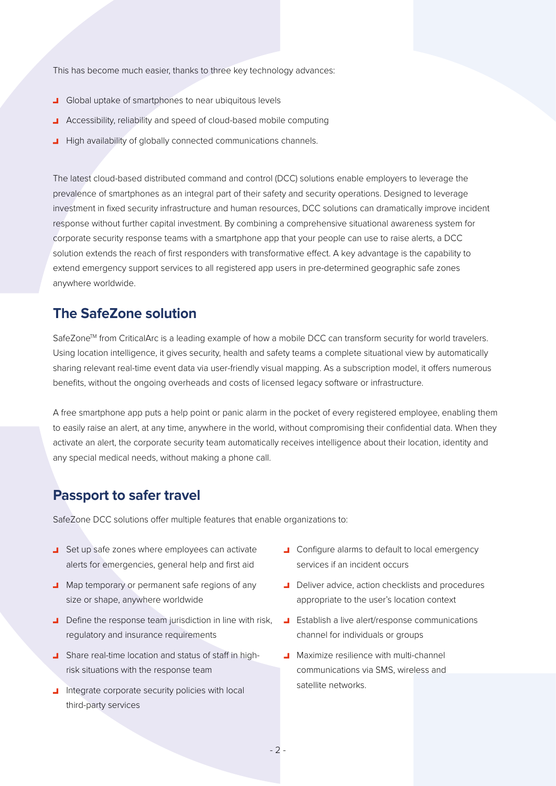This has become much easier, thanks to three key technology advances:

- **J** Global uptake of smartphones to near ubiquitous levels
- **Accessibility, reliability and speed of cloud-based mobile computing**
- High availability of globally connected communications channels.

The latest cloud-based distributed command and control (DCC) solutions enable employers to leverage the prevalence of smartphones as an integral part of their safety and security operations. Designed to leverage investment in fixed security infrastructure and human resources, DCC solutions can dramatically improve incident response without further capital investment. By combining a comprehensive situational awareness system for corporate security response teams with a smartphone app that your people can use to raise alerts, a DCC solution extends the reach of first responders with transformative effect. A key advantage is the capability to extend emergency support services to all registered app users in pre-determined geographic safe zones anywhere worldwide.

### **The SafeZone solution**

SafeZone<sup>™</sup> from CriticalArc is a leading example of how a mobile DCC can transform security for world travelers. Using location intelligence, it gives security, health and safety teams a complete situational view by automatically sharing relevant real-time event data via user-friendly visual mapping. As a subscription model, it offers numerous benefits, without the ongoing overheads and costs of licensed legacy software or infrastructure.

A free smartphone app puts a help point or panic alarm in the pocket of every registered employee, enabling them to easily raise an alert, at any time, anywhere in the world, without compromising their confidential data. When they activate an alert, the corporate security team automatically receives intelligence about their location, identity and any special medical needs, without making a phone call.

### **Passport to safer travel**

SafeZone DCC solutions offer multiple features that enable organizations to:

- Set up safe zones where employees can activate alerts for emergencies, general help and first aid
- Map temporary or permanent safe regions of any size or shape, anywhere worldwide
- Define the response team jurisdiction in line with risk. regulatory and insurance requirements
- Share real-time location and status of staff in highrisk situations with the response team
- I Integrate corporate security policies with local third-party services
- **L** Configure alarms to default to local emergency services if an incident occurs
- Deliver advice, action checklists and procedures appropriate to the user's location context
- **Establish a live alert/response communications** channel for individuals or groups
- **J** Maximize resilience with multi-channel communications via SMS, wireless and satellite networks.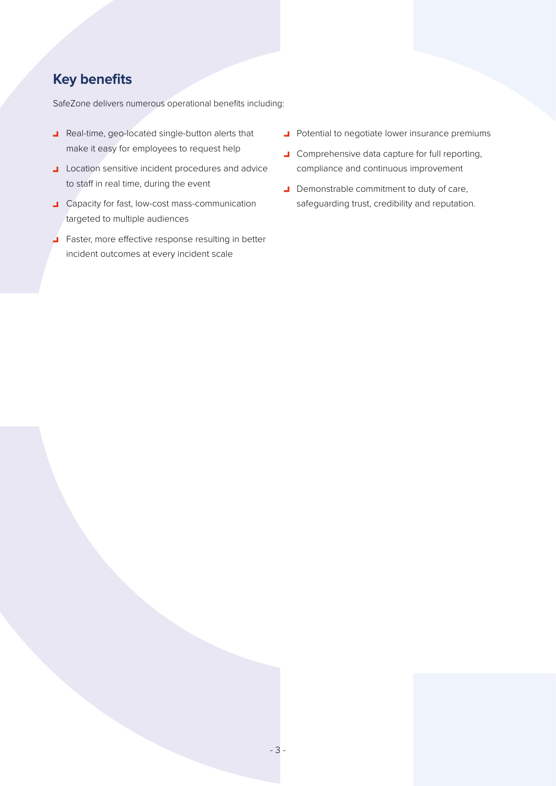## **Key benefits**

SafeZone delivers numerous operational benefits including:

- Real-time, geo-located single-button alerts that make it easy for employees to request help
- **L** Location sensitive incident procedures and advice to staff in real time, during the event
- **L** Capacity for fast, low-cost mass-communication targeted to multiple audiences
- Faster, more effective response resulting in better incident outcomes at every incident scale
- **J** Potential to negotiate lower insurance premiums
- **J** Comprehensive data capture for full reporting, compliance and continuous improvement
- Demonstrable commitment to duty of care, safeguarding trust, credibility and reputation.